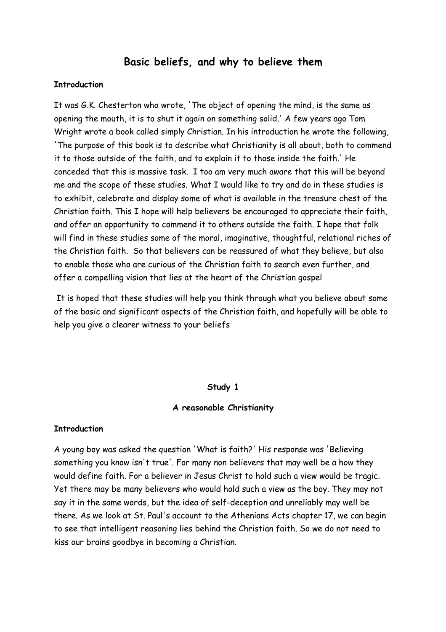# **Basic beliefs, and why to believe them**

#### **Introduction**

It was G.K. Chesterton who wrote, 'The object of opening the mind, is the same as opening the mouth, it is to shut it again on something solid.' A few years ago Tom Wright wrote a book called simply Christian. In his introduction he wrote the following, 'The purpose of this book is to describe what Christianity is all about, both to commend it to those outside of the faith, and to explain it to those inside the faith.' He conceded that this is massive task. I too am very much aware that this will be beyond me and the scope of these studies. What I would like to try and do in these studies is to exhibit, celebrate and display some of what is available in the treasure chest of the Christian faith. This I hope will help believers be encouraged to appreciate their faith, and offer an opportunity to commend it to others outside the faith. I hope that folk will find in these studies some of the moral, imaginative, thoughtful, relational riches of the Christian faith. So that believers can be reassured of what they believe, but also to enable those who are curious of the Christian faith to search even further, and offer a compelling vision that lies at the heart of the Christian gospel

 It is hoped that these studies will help you think through what you believe about some of the basic and significant aspects of the Christian faith, and hopefully will be able to help you give a clearer witness to your beliefs

#### **Study 1**

#### **A reasonable Christianity**

#### **Introduction**

A young boy was asked the question 'What is faith?' His response was 'Believing something you know isn't true'. For many non believers that may well be a how they would define faith. For a believer in Jesus Christ to hold such a view would be tragic. Yet there may be many believers who would hold such a view as the boy. They may not say it in the same words, but the idea of self-deception and unreliably may well be there. As we look at St. Paul's account to the Athenians Acts chapter 17, we can begin to see that intelligent reasoning lies behind the Christian faith. So we do not need to kiss our brains goodbye in becoming a Christian.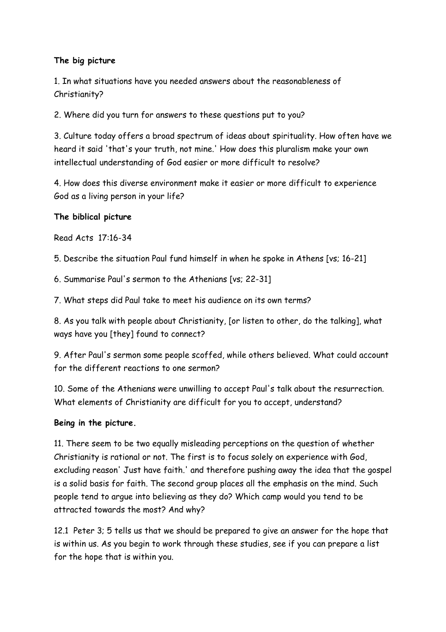## **The big picture**

1. In what situations have you needed answers about the reasonableness of Christianity?

2. Where did you turn for answers to these questions put to you?

3. Culture today offers a broad spectrum of ideas about spirituality. How often have we heard it said 'that's your truth, not mine.' How does this pluralism make your own intellectual understanding of God easier or more difficult to resolve?

4. How does this diverse environment make it easier or more difficult to experience God as a living person in your life?

## **The biblical picture**

Read Acts 17:16-34

5. Describe the situation Paul fund himself in when he spoke in Athens [vs; 16-21]

6. Summarise Paul's sermon to the Athenians [vs; 22-31]

7. What steps did Paul take to meet his audience on its own terms?

8. As you talk with people about Christianity, [or listen to other, do the talking], what ways have you [they] found to connect?

9. After Paul's sermon some people scoffed, while others believed. What could account for the different reactions to one sermon?

10. Some of the Athenians were unwilling to accept Paul's talk about the resurrection. What elements of Christianity are difficult for you to accept, understand?

## **Being in the picture.**

11. There seem to be two equally misleading perceptions on the question of whether Christianity is rational or not. The first is to focus solely on experience with God, excluding reason' Just have faith.' and therefore pushing away the idea that the gospel is a solid basis for faith. The second group places all the emphasis on the mind. Such people tend to argue into believing as they do? Which camp would you tend to be attracted towards the most? And why?

12.1 Peter 3; 5 tells us that we should be prepared to give an answer for the hope that is within us. As you begin to work through these studies, see if you can prepare a list for the hope that is within you.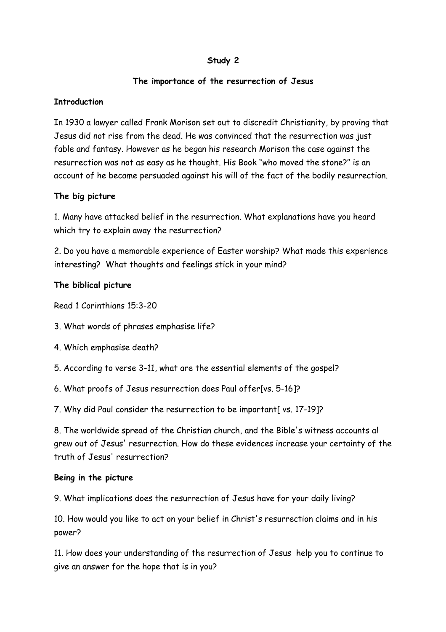## **Study 2**

### **The importance of the resurrection of Jesus**

### **Introduction**

In 1930 a lawyer called Frank Morison set out to discredit Christianity, by proving that Jesus did not rise from the dead. He was convinced that the resurrection was just fable and fantasy. However as he began his research Morison the case against the resurrection was not as easy as he thought. His Book "who moved the stone?" is an account of he became persuaded against his will of the fact of the bodily resurrection.

## **The big picture**

1. Many have attacked belief in the resurrection. What explanations have you heard which try to explain away the resurrection?

2. Do you have a memorable experience of Easter worship? What made this experience interesting? What thoughts and feelings stick in your mind?

## **The biblical picture**

Read 1 Corinthians 15:3-20

- 3. What words of phrases emphasise life?
- 4. Which emphasise death?
- 5. According to verse 3-11, what are the essential elements of the gospel?
- 6. What proofs of Jesus resurrection does Paul offer[vs. 5-16]?

7. Why did Paul consider the resurrection to be important[ vs. 17-19]?

8. The worldwide spread of the Christian church, and the Bible's witness accounts al grew out of Jesus' resurrection. How do these evidences increase your certainty of the truth of Jesus' resurrection?

### **Being in the picture**

9. What implications does the resurrection of Jesus have for your daily living?

10. How would you like to act on your belief in Christ's resurrection claims and in his power?

11. How does your understanding of the resurrection of Jesus help you to continue to give an answer for the hope that is in you?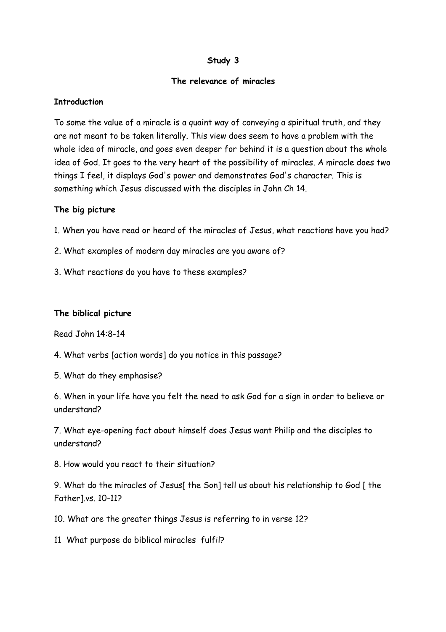## **Study 3**

### **The relevance of miracles**

### **Introduction**

To some the value of a miracle is a quaint way of conveying a spiritual truth, and they are not meant to be taken literally. This view does seem to have a problem with the whole idea of miracle, and goes even deeper for behind it is a question about the whole idea of God. It goes to the very heart of the possibility of miracles. A miracle does two things I feel, it displays God's power and demonstrates God's character. This is something which Jesus discussed with the disciples in John Ch 14.

### **The big picture**

1. When you have read or heard of the miracles of Jesus, what reactions have you had?

2. What examples of modern day miracles are you aware of?

3. What reactions do you have to these examples?

## **The biblical picture**

Read John 14:8-14

4. What verbs [action words] do you notice in this passage?

5. What do they emphasise?

6. When in your life have you felt the need to ask God for a sign in order to believe or understand?

7. What eye-opening fact about himself does Jesus want Philip and the disciples to understand?

8. How would you react to their situation?

9. What do the miracles of Jesus[ the Son] tell us about his relationship to God [ the Father].vs. 10-11?

10. What are the greater things Jesus is referring to in verse 12?

11 What purpose do biblical miracles fulfil?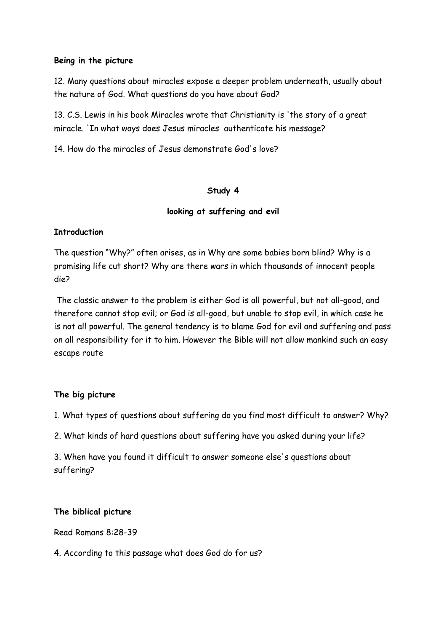#### **Being in the picture**

12. Many questions about miracles expose a deeper problem underneath, usually about the nature of God. What questions do you have about God?

13. C.S. Lewis in his book Miracles wrote that Christianity is 'the story of a great miracle. 'In what ways does Jesus miracles authenticate his message?

14. How do the miracles of Jesus demonstrate God's love?

### **Study 4**

## **looking at suffering and evil**

## **Introduction**

The question "Why?" often arises, as in Why are some babies born blind? Why is a promising life cut short? Why are there wars in which thousands of innocent people die?

 The classic answer to the problem is either God is all powerful, but not all-good, and therefore cannot stop evil; or God is all-good, but unable to stop evil, in which case he is not all powerful. The general tendency is to blame God for evil and suffering and pass on all responsibility for it to him. However the Bible will not allow mankind such an easy escape route

### **The big picture**

1. What types of questions about suffering do you find most difficult to answer? Why?

2. What kinds of hard questions about suffering have you asked during your life?

3. When have you found it difficult to answer someone else's questions about suffering?

### **The biblical picture**

Read Romans 8:28-39

4. According to this passage what does God do for us?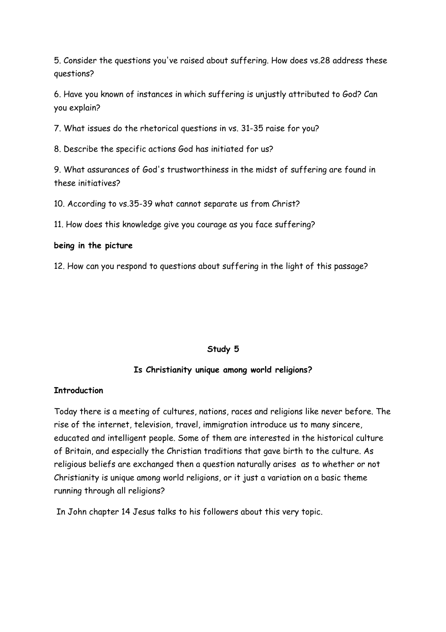5. Consider the questions you've raised about suffering. How does vs.28 address these questions?

6. Have you known of instances in which suffering is unjustly attributed to God? Can you explain?

7. What issues do the rhetorical questions in vs. 31-35 raise for you?

8. Describe the specific actions God has initiated for us?

9. What assurances of God's trustworthiness in the midst of suffering are found in these initiatives?

10. According to vs.35-39 what cannot separate us from Christ?

11. How does this knowledge give you courage as you face suffering?

### **being in the picture**

12. How can you respond to questions about suffering in the light of this passage?

### **Study 5**

### **Is Christianity unique among world religions?**

### **Introduction**

Today there is a meeting of cultures, nations, races and religions like never before. The rise of the internet, television, travel, immigration introduce us to many sincere, educated and intelligent people. Some of them are interested in the historical culture of Britain, and especially the Christian traditions that gave birth to the culture. As religious beliefs are exchanged then a question naturally arises as to whether or not Christianity is unique among world religions, or it just a variation on a basic theme running through all religions?

In John chapter 14 Jesus talks to his followers about this very topic.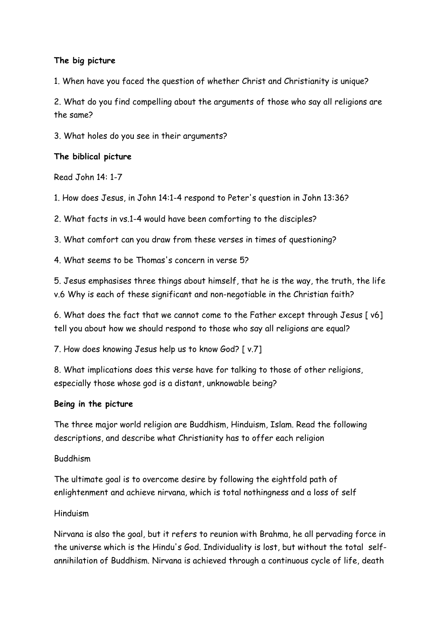## **The big picture**

1. When have you faced the question of whether Christ and Christianity is unique?

2. What do you find compelling about the arguments of those who say all religions are the same?

3. What holes do you see in their arguments?

### **The biblical picture**

Read John 14: 1-7

1. How does Jesus, in John 14:1-4 respond to Peter's question in John 13:36?

2. What facts in vs.1-4 would have been comforting to the disciples?

3. What comfort can you draw from these verses in times of questioning?

4. What seems to be Thomas's concern in verse 5?

5. Jesus emphasises three things about himself, that he is the way, the truth, the life v.6 Why is each of these significant and non-negotiable in the Christian faith?

6. What does the fact that we cannot come to the Father except through Jesus [ v6] tell you about how we should respond to those who say all religions are equal?

7. How does knowing Jesus help us to know God? [ v.7]

8. What implications does this verse have for talking to those of other religions, especially those whose god is a distant, unknowable being?

## **Being in the picture**

The three major world religion are Buddhism, Hinduism, Islam. Read the following descriptions, and describe what Christianity has to offer each religion

## Buddhism

The ultimate goal is to overcome desire by following the eightfold path of enlightenment and achieve nirvana, which is total nothingness and a loss of self

### Hinduism

Nirvana is also the goal, but it refers to reunion with Brahma, he all pervading force in the universe which is the Hindu's God. Individuality is lost, but without the total selfannihilation of Buddhism. Nirvana is achieved through a continuous cycle of life, death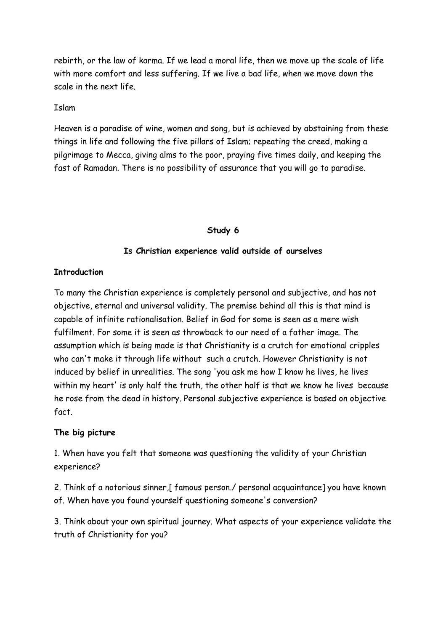rebirth, or the law of karma. If we lead a moral life, then we move up the scale of life with more comfort and less suffering. If we live a bad life, when we move down the scale in the next life.

Islam

Heaven is a paradise of wine, women and song, but is achieved by abstaining from these things in life and following the five pillars of Islam; repeating the creed, making a pilgrimage to Mecca, giving alms to the poor, praying five times daily, and keeping the fast of Ramadan. There is no possibility of assurance that you will go to paradise.

## **Study 6**

## **Is Christian experience valid outside of ourselves**

## **Introduction**

To many the Christian experience is completely personal and subjective, and has not objective, eternal and universal validity. The premise behind all this is that mind is capable of infinite rationalisation. Belief in God for some is seen as a mere wish fulfilment. For some it is seen as throwback to our need of a father image. The assumption which is being made is that Christianity is a crutch for emotional cripples who can't make it through life without such a crutch. However Christianity is not induced by belief in unrealities. The song 'you ask me how I know he lives, he lives within my heart' is only half the truth, the other half is that we know he lives because he rose from the dead in history. Personal subjective experience is based on objective fact.

## **The big picture**

1. When have you felt that someone was questioning the validity of your Christian experience?

2. Think of a notorious sinner,[ famous person./ personal acquaintance] you have known of. When have you found yourself questioning someone's conversion?

3. Think about your own spiritual journey. What aspects of your experience validate the truth of Christianity for you?